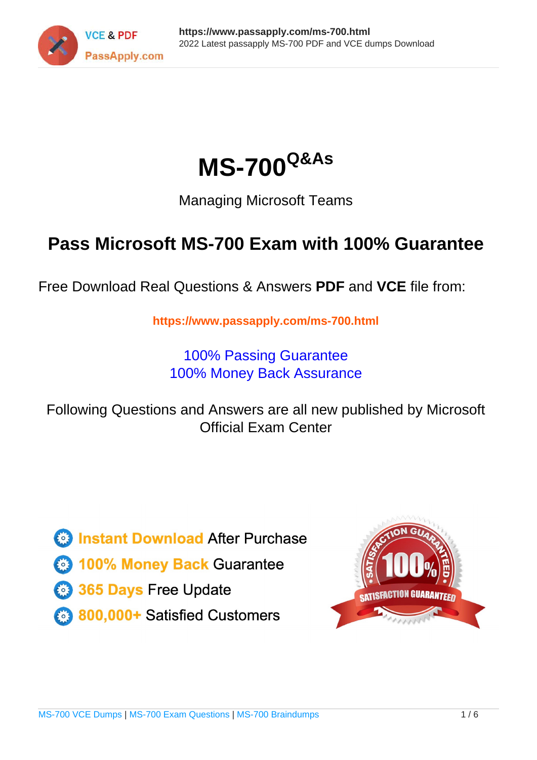



Managing Microsoft Teams

# **Pass Microsoft MS-700 Exam with 100% Guarantee**

Free Download Real Questions & Answers **PDF** and **VCE** file from:

**https://www.passapply.com/ms-700.html**

100% Passing Guarantee 100% Money Back Assurance

Following Questions and Answers are all new published by Microsoft Official Exam Center

**C** Instant Download After Purchase

**83 100% Money Back Guarantee** 

- 365 Days Free Update
- 800,000+ Satisfied Customers

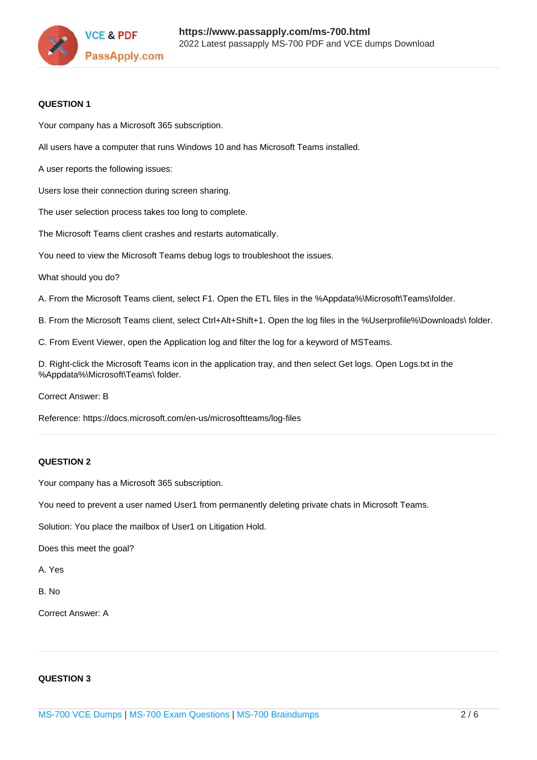

#### **QUESTION 1**

Your company has a Microsoft 365 subscription.

All users have a computer that runs Windows 10 and has Microsoft Teams installed.

A user reports the following issues:

Users lose their connection during screen sharing.

The user selection process takes too long to complete.

The Microsoft Teams client crashes and restarts automatically.

You need to view the Microsoft Teams debug logs to troubleshoot the issues.

What should you do?

A. From the Microsoft Teams client, select F1. Open the ETL files in the %Appdata%\Microsoft\Teams\folder.

B. From the Microsoft Teams client, select Ctrl+Alt+Shift+1. Open the log files in the %Userprofile%\Downloads\ folder.

C. From Event Viewer, open the Application log and filter the log for a keyword of MSTeams.

D. Right-click the Microsoft Teams icon in the application tray, and then select Get logs. Open Logs.txt in the %Appdata%\Microsoft\Teams\ folder.

Correct Answer: B

Reference: https://docs.microsoft.com/en-us/microsoftteams/log-files

#### **QUESTION 2**

Your company has a Microsoft 365 subscription.

You need to prevent a user named User1 from permanently deleting private chats in Microsoft Teams.

Solution: You place the mailbox of User1 on Litigation Hold.

Does this meet the goal?

A. Yes

B. No

Correct Answer: A

#### **QUESTION 3**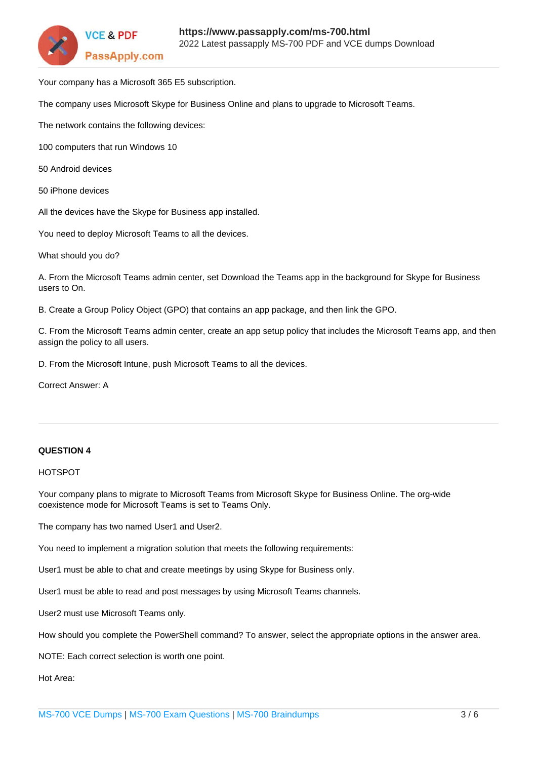

Your company has a Microsoft 365 E5 subscription.

The company uses Microsoft Skype for Business Online and plans to upgrade to Microsoft Teams.

The network contains the following devices:

100 computers that run Windows 10

- 50 Android devices
- 50 iPhone devices

All the devices have the Skype for Business app installed.

You need to deploy Microsoft Teams to all the devices.

What should you do?

A. From the Microsoft Teams admin center, set Download the Teams app in the background for Skype for Business users to On.

B. Create a Group Policy Object (GPO) that contains an app package, and then link the GPO.

C. From the Microsoft Teams admin center, create an app setup policy that includes the Microsoft Teams app, and then assign the policy to all users.

D. From the Microsoft Intune, push Microsoft Teams to all the devices.

Correct Answer: A

#### **QUESTION 4**

#### HOTSPOT

Your company plans to migrate to Microsoft Teams from Microsoft Skype for Business Online. The org-wide coexistence mode for Microsoft Teams is set to Teams Only.

The company has two named User1 and User2.

You need to implement a migration solution that meets the following requirements:

User1 must be able to chat and create meetings by using Skype for Business only.

User1 must be able to read and post messages by using Microsoft Teams channels.

User2 must use Microsoft Teams only.

How should you complete the PowerShell command? To answer, select the appropriate options in the answer area.

NOTE: Each correct selection is worth one point.

Hot Area: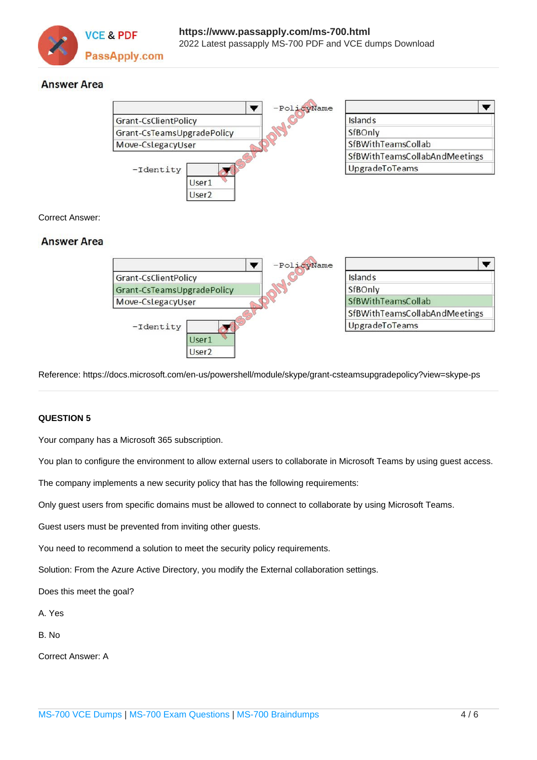

### **Answer Area**



Reference: https://docs.microsoft.com/en-us/powershell/module/skype/grant-csteamsupgradepolicy?view=skype-ps

#### **QUESTION 5**

Your company has a Microsoft 365 subscription.

You plan to configure the environment to allow external users to collaborate in Microsoft Teams by using guest access.

The company implements a new security policy that has the following requirements:

User<sub>2</sub>

Only guest users from specific domains must be allowed to connect to collaborate by using Microsoft Teams.

Guest users must be prevented from inviting other guests.

You need to recommend a solution to meet the security policy requirements.

Solution: From the Azure Active Directory, you modify the External collaboration settings.

Does this meet the goal?

A. Yes

B. No

Correct Answer: A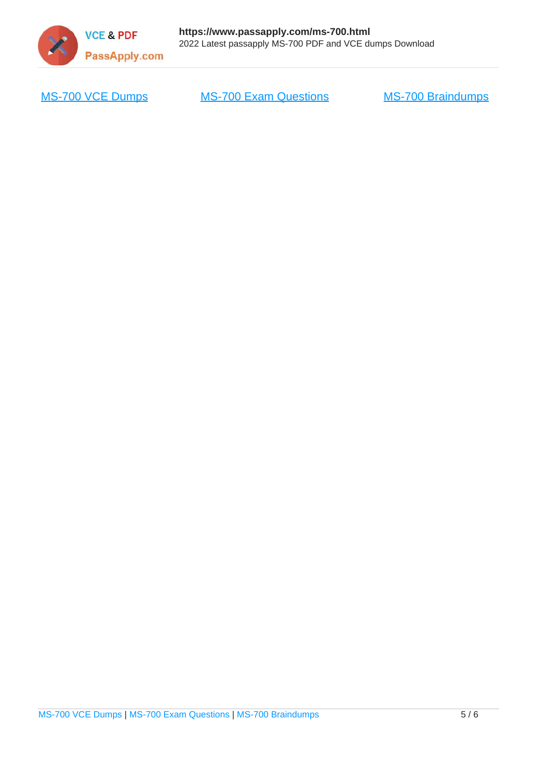

[MS-700 VCE Dumps](https://www.passapply.com/ms-700.html) [MS-700 Exam Questions](https://www.passapply.com/ms-700.html) [MS-700 Braindumps](https://www.passapply.com/ms-700.html)